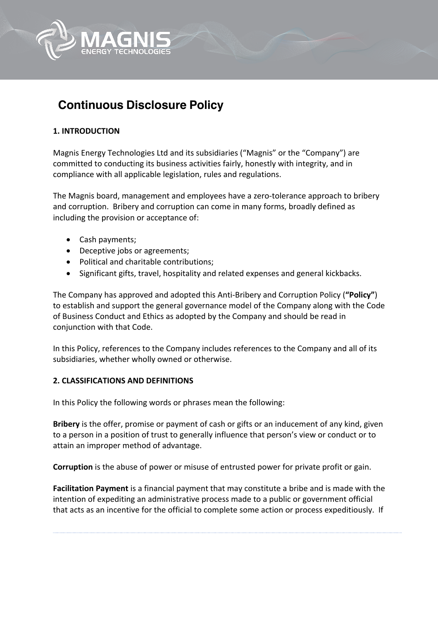

# **Continuous Disclosure Policy**

## **1. INTRODUCTION**

Magnis Energy Technologies Ltd and its subsidiaries ("Magnis" or the "Company") are committed to conducting its business activities fairly, honestly with integrity, and in compliance with all applicable legislation, rules and regulations.

The Magnis board, management and employees have a zero-tolerance approach to bribery and corruption. Bribery and corruption can come in many forms, broadly defined as including the provision or acceptance of:

- Cash payments;
- Deceptive jobs or agreements;
- Political and charitable contributions;
- Significant gifts, travel, hospitality and related expenses and general kickbacks.

The Company has approved and adopted this Anti-Bribery and Corruption Policy (**"Policy"**) to establish and support the general governance model of the Company along with the Code of Business Conduct and Ethics as adopted by the Company and should be read in conjunction with that Code.

In this Policy, references to the Company includes references to the Company and all of its subsidiaries, whether wholly owned or otherwise.

## **2. CLASSIFICATIONS AND DEFINITIONS**

In this Policy the following words or phrases mean the following:

**Bribery** is the offer, promise or payment of cash or gifts or an inducement of any kind, given to a person in a position of trust to generally influence that person's view or conduct or to attain an improper method of advantage.

**Corruption** is the abuse of power or misuse of entrusted power for private profit or gain.

**Facilitation Payment** is a financial payment that may constitute a bribe and is made with the intention of expediting an administrative process made to a public or government official that acts as an incentive for the official to complete some action or process expeditiously. If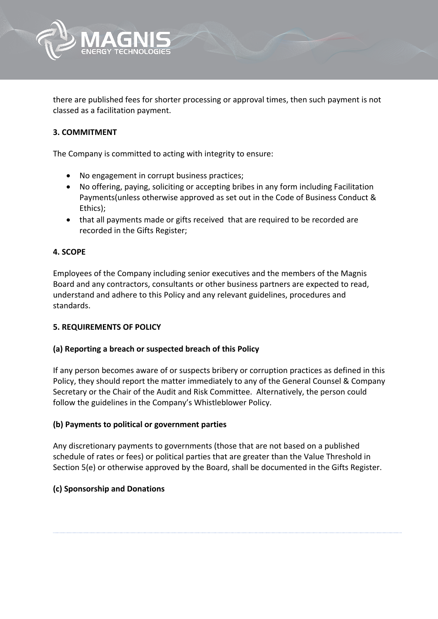

there are published fees for shorter processing or approval times, then such payment is not classed as a facilitation payment.

## **3. COMMITMENT**

The Company is committed to acting with integrity to ensure:

- No engagement in corrupt business practices;
- No offering, paying, soliciting or accepting bribes in any form including Facilitation Payments(unless otherwise approved as set out in the Code of Business Conduct & Ethics);
- that all payments made or gifts received that are required to be recorded are recorded in the Gifts Register;

## **4. SCOPE**

Employees of the Company including senior executives and the members of the Magnis Board and any contractors, consultants or other business partners are expected to read, understand and adhere to this Policy and any relevant guidelines, procedures and standards.

## **5. REQUIREMENTS OF POLICY**

#### **(a) Reporting a breach or suspected breach of this Policy**

If any person becomes aware of or suspects bribery or corruption practices as defined in this Policy, they should report the matter immediately to any of the General Counsel & Company Secretary or the Chair of the Audit and Risk Committee. Alternatively, the person could follow the guidelines in the Company's Whistleblower Policy.

#### **(b) Payments to political or government parties**

Any discretionary payments to governments (those that are not based on a published schedule of rates or fees) or political parties that are greater than the Value Threshold in Section 5(e) or otherwise approved by the Board, shall be documented in the Gifts Register.

## **(c) Sponsorship and Donations**